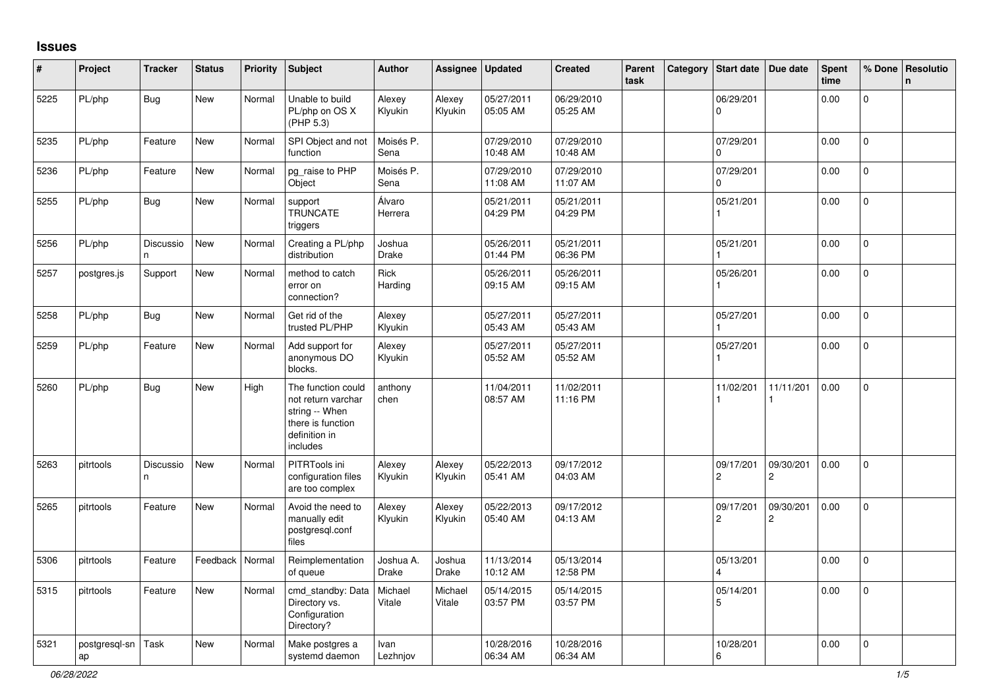## **Issues**

| #    | Project             | <b>Tracker</b>   | <b>Status</b>     | <b>Priority</b> | <b>Subject</b>                                                                                               | <b>Author</b>      | <b>Assignee</b>   | Updated                | <b>Created</b>         | Parent<br>task | Category | Start date                         | Due date                    | <b>Spent</b><br>time | % Done              | <b>Resolutio</b><br>n |
|------|---------------------|------------------|-------------------|-----------------|--------------------------------------------------------------------------------------------------------------|--------------------|-------------------|------------------------|------------------------|----------------|----------|------------------------------------|-----------------------------|----------------------|---------------------|-----------------------|
| 5225 | PL/php              | <b>Bug</b>       | <b>New</b>        | Normal          | Unable to build<br>PL/php on OS X<br>(PHP 5.3)                                                               | Alexey<br>Klyukin  | Alexey<br>Klyukin | 05/27/2011<br>05:05 AM | 06/29/2010<br>05:25 AM |                |          | 06/29/201<br>$\mathbf 0$           |                             | 0.00                 | $\mathbf{0}$        |                       |
| 5235 | PL/php              | Feature          | <b>New</b>        | Normal          | SPI Object and not<br>function                                                                               | Moisés P.<br>Sena  |                   | 07/29/2010<br>10:48 AM | 07/29/2010<br>10:48 AM |                |          | 07/29/201<br>$\Omega$              |                             | 0.00                 | $\mathsf{O}$        |                       |
| 5236 | PL/php              | Feature          | <b>New</b>        | Normal          | pg_raise to PHP<br>Object                                                                                    | Moisés P.<br>Sena  |                   | 07/29/2010<br>11:08 AM | 07/29/2010<br>11:07 AM |                |          | 07/29/201<br>$\Omega$              |                             | 0.00                 | $\mathbf{0}$        |                       |
| 5255 | PL/php              | Bug              | New               | Normal          | support<br><b>TRUNCATE</b><br>triggers                                                                       | Álvaro<br>Herrera  |                   | 05/21/2011<br>04:29 PM | 05/21/2011<br>04:29 PM |                |          | 05/21/201                          |                             | 0.00                 | $\mathbf 0$         |                       |
| 5256 | PL/php              | Discussio<br>In. | <b>New</b>        | Normal          | Creating a PL/php<br>distribution                                                                            | Joshua<br>Drake    |                   | 05/26/2011<br>01:44 PM | 05/21/2011<br>06:36 PM |                |          | 05/21/201                          |                             | 0.00                 | $\mathbf 0$         |                       |
| 5257 | postgres.js         | Support          | New               | Normal          | method to catch<br>error on<br>connection?                                                                   | Rick<br>Harding    |                   | 05/26/2011<br>09:15 AM | 05/26/2011<br>09:15 AM |                |          | 05/26/201                          |                             | 0.00                 | $\mathbf 0$         |                       |
| 5258 | PL/php              | <b>Bug</b>       | New               | Normal          | Get rid of the<br>trusted PL/PHP                                                                             | Alexey<br>Klyukin  |                   | 05/27/2011<br>05:43 AM | 05/27/2011<br>05:43 AM |                |          | 05/27/201                          |                             | 0.00                 | $\mathsf{O}\xspace$ |                       |
| 5259 | PL/php              | Feature          | <b>New</b>        | Normal          | Add support for<br>anonymous DO<br>blocks.                                                                   | Alexey<br>Klyukin  |                   | 05/27/2011<br>05:52 AM | 05/27/2011<br>05:52 AM |                |          | 05/27/201                          |                             | 0.00                 | $\mathsf{O}$        |                       |
| 5260 | PL/php              | <b>Bug</b>       | New               | High            | The function could<br>not return varchar<br>string -- When<br>there is function<br>definition in<br>includes | anthony<br>chen    |                   | 11/04/2011<br>08:57 AM | 11/02/2011<br>11:16 PM |                |          | 11/02/201                          | 11/11/201                   | 0.00                 | $\Omega$            |                       |
| 5263 | pitrtools           | Discussio<br>n   | New               | Normal          | PITRTools ini<br>configuration files<br>are too complex                                                      | Alexey<br>Klyukin  | Alexey<br>Klyukin | 05/22/2013<br>05:41 AM | 09/17/2012<br>04:03 AM |                |          | 09/17/201<br>$\overline{2}$        | 09/30/201<br>$\overline{2}$ | 0.00                 | $\mathsf{O}$        |                       |
| 5265 | pitrtools           | Feature          | New               | Normal          | Avoid the need to<br>manually edit<br>postgresgl.conf<br>files                                               | Alexey<br>Klyukin  | Alexey<br>Klyukin | 05/22/2013<br>05:40 AM | 09/17/2012<br>04:13 AM |                |          | 09/17/201<br>$\overline{2}$        | 09/30/201<br>$\overline{c}$ | 0.00                 | $\mathsf{O}$        |                       |
| 5306 | pitrtools           | Feature          | Feedback   Normal |                 | Reimplementation<br>of queue                                                                                 | Joshua A.<br>Drake | Joshua<br>Drake   | 11/13/2014<br>10:12 AM | 05/13/2014<br>12:58 PM |                |          | 05/13/201<br>$\boldsymbol{\Delta}$ |                             | 0.00                 | $\mathsf{O}$        |                       |
| 5315 | pitrtools           | Feature          | New               | Normal          | cmd_standby: Data<br>Directory vs.<br>Configuration<br>Directory?                                            | Michael<br>Vitale  | Michael<br>Vitale | 05/14/2015<br>03:57 PM | 05/14/2015<br>03:57 PM |                |          | 05/14/201<br>5                     |                             | 0.00                 | $\mathbf 0$         |                       |
| 5321 | postgresql-sn<br>ap | Task             | New               | Normal          | Make postgres a<br>systemd daemon                                                                            | Ivan<br>Lezhnjov   |                   | 10/28/2016<br>06:34 AM | 10/28/2016<br>06:34 AM |                |          | 10/28/201<br>6                     |                             | 0.00                 | $\mathbf 0$         |                       |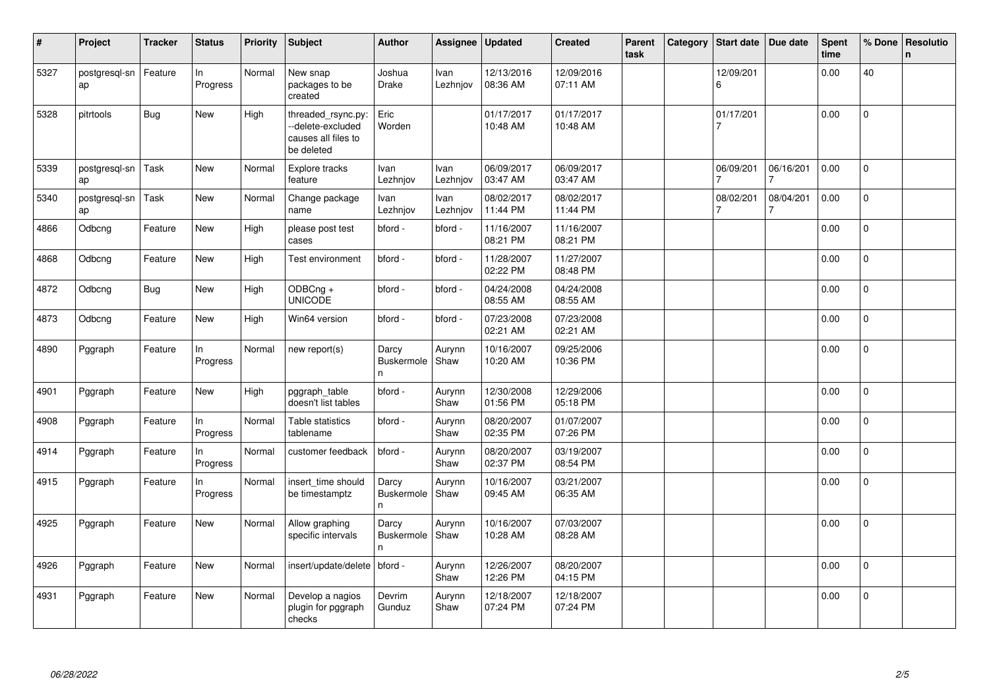| #    | Project             | <b>Tracker</b> | <b>Status</b>  | Priority | <b>Subject</b>                                                               | <b>Author</b>                       | Assignee                | <b>Updated</b>         | <b>Created</b>         | Parent<br>task | Category | <b>Start date</b>           | Due date       | <b>Spent</b><br>time | % Done         | Resolutio<br>$\mathsf{n}$ |
|------|---------------------|----------------|----------------|----------|------------------------------------------------------------------------------|-------------------------------------|-------------------------|------------------------|------------------------|----------------|----------|-----------------------------|----------------|----------------------|----------------|---------------------------|
| 5327 | postgresql-sn<br>ap | Feature        | ln<br>Progress | Normal   | New snap<br>packages to be<br>created                                        | Joshua<br><b>Drake</b>              | Ivan<br>Lezhniov        | 12/13/2016<br>08:36 AM | 12/09/2016<br>07:11 AM |                |          | 12/09/201<br>6              |                | 0.00                 | 40             |                           |
| 5328 | pitrtools           | <b>Bug</b>     | <b>New</b>     | High     | threaded_rsync.py:<br>--delete-excluded<br>causes all files to<br>be deleted | Eric<br>Worden                      |                         | 01/17/2017<br>10:48 AM | 01/17/2017<br>10:48 AM |                |          | 01/17/201<br>7              |                | 0.00                 | $\overline{0}$ |                           |
| 5339 | postgresql-sn<br>ap | Task           | New            | Normal   | Explore tracks<br>feature                                                    | Ivan<br>Lezhnjov                    | Ivan<br>Lezhniov        | 06/09/2017<br>03:47 AM | 06/09/2017<br>03:47 AM |                |          | 06/09/201                   | 06/16/201<br>7 | 0.00                 | 0              |                           |
| 5340 | postgresql-sn<br>ap | Task           | <b>New</b>     | Normal   | Change package<br>name                                                       | <b>Ivan</b><br>Lezhnjov             | <b>Ivan</b><br>Lezhnjov | 08/02/2017<br>11:44 PM | 08/02/2017<br>11:44 PM |                |          | 08/02/201<br>$\overline{7}$ | 08/04/201<br>7 | 0.00                 | $\mathbf{0}$   |                           |
| 4866 | Odbcng              | Feature        | New            | High     | please post test<br>cases                                                    | bford -                             | bford -                 | 11/16/2007<br>08:21 PM | 11/16/2007<br>08:21 PM |                |          |                             |                | 0.00                 | $\mathsf{O}$   |                           |
| 4868 | Odbcng              | Feature        | New            | High     | Test environment                                                             | bford -                             | bford -                 | 11/28/2007<br>02:22 PM | 11/27/2007<br>08:48 PM |                |          |                             |                | 0.00                 | $\mathbf 0$    |                           |
| 4872 | Odbcng              | <b>Bug</b>     | New            | High     | ODBCng +<br><b>UNICODE</b>                                                   | bford -                             | bford -                 | 04/24/2008<br>08:55 AM | 04/24/2008<br>08:55 AM |                |          |                             |                | 0.00                 | $\Omega$       |                           |
| 4873 | Odbcng              | Feature        | New            | High     | Win64 version                                                                | bford -                             | bford -                 | 07/23/2008<br>02:21 AM | 07/23/2008<br>02:21 AM |                |          |                             |                | 0.00                 | $\mathbf 0$    |                           |
| 4890 | Pggraph             | Feature        | In<br>Progress | Normal   | new report(s)                                                                | Darcy<br>Buskermole<br>n.           | Aurynn<br>Shaw          | 10/16/2007<br>10:20 AM | 09/25/2006<br>10:36 PM |                |          |                             |                | 0.00                 | $\overline{0}$ |                           |
| 4901 | Pggraph             | Feature        | New            | High     | pggraph_table<br>doesn't list tables                                         | bford -                             | Aurynn<br>Shaw          | 12/30/2008<br>01:56 PM | 12/29/2006<br>05:18 PM |                |          |                             |                | 0.00                 | $\Omega$       |                           |
| 4908 | Pggraph             | Feature        | In<br>Progress | Normal   | Table statistics<br>tablename                                                | bford -                             | Aurynn<br>Shaw          | 08/20/2007<br>02:35 PM | 01/07/2007<br>07:26 PM |                |          |                             |                | 0.00                 | $\mathbf{0}$   |                           |
| 4914 | Pggraph             | Feature        | In<br>Progress | Normal   | customer feedback                                                            | bford -                             | Aurynn<br>Shaw          | 08/20/2007<br>02:37 PM | 03/19/2007<br>08:54 PM |                |          |                             |                | 0.00                 | $\overline{0}$ |                           |
| 4915 | Pggraph             | Feature        | In<br>Progress | Normal   | insert time should<br>be timestamptz                                         | Darcy<br>Buskermole<br>$\mathsf{n}$ | Aurynn<br>Shaw          | 10/16/2007<br>09:45 AM | 03/21/2007<br>06:35 AM |                |          |                             |                | 0.00                 | 0              |                           |
| 4925 | Pggraph             | Feature        | New            | Normal   | Allow graphing<br>specific intervals                                         | Darcy<br>Buskermole<br>n            | Aurynn<br>Shaw          | 10/16/2007<br>10:28 AM | 07/03/2007<br>08:28 AM |                |          |                             |                | 0.00                 | $\overline{0}$ |                           |
| 4926 | Pggraph             | Feature        | New            | Normal   | insert/update/delete                                                         | bford -                             | Aurynn<br>Shaw          | 12/26/2007<br>12:26 PM | 08/20/2007<br>04:15 PM |                |          |                             |                | 0.00                 | $\Omega$       |                           |
| 4931 | Pggraph             | Feature        | New            | Normal   | Develop a nagios<br>plugin for pggraph<br>checks                             | Devrim<br>Gunduz                    | Aurynn<br>Shaw          | 12/18/2007<br>07:24 PM | 12/18/2007<br>07:24 PM |                |          |                             |                | 0.00                 | $\mathbf 0$    |                           |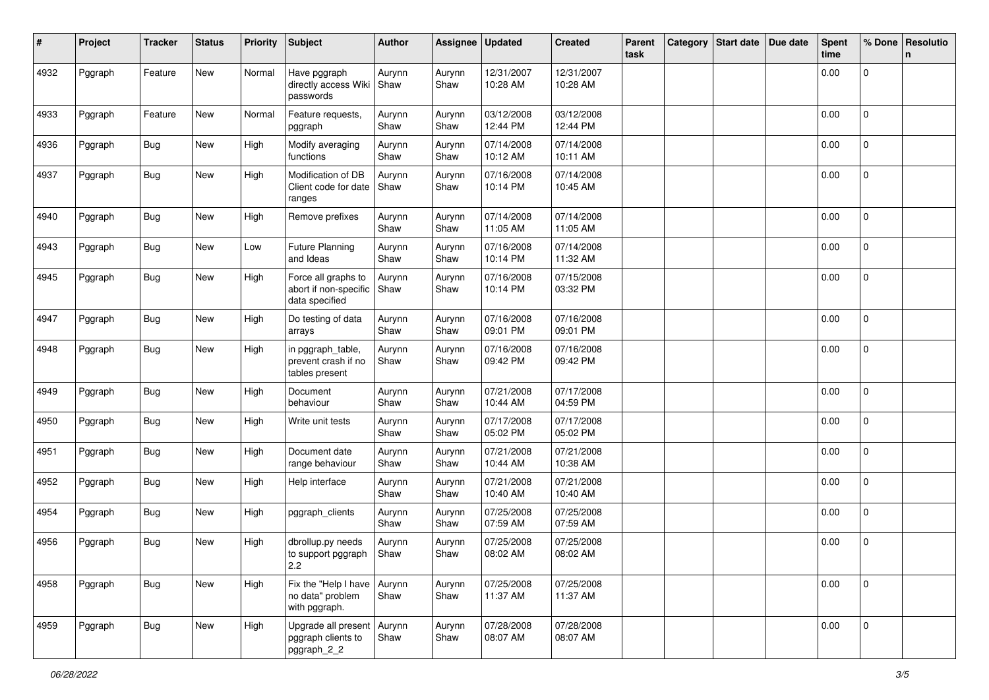| #    | Project | <b>Tracker</b> | <b>Status</b> | <b>Priority</b> | <b>Subject</b>                                                 | <b>Author</b>  | Assignee       | <b>Updated</b>         | <b>Created</b>         | Parent<br>task | Category | Start date | Due date | <b>Spent</b><br>time | % Done       | Resolutio<br>n |
|------|---------|----------------|---------------|-----------------|----------------------------------------------------------------|----------------|----------------|------------------------|------------------------|----------------|----------|------------|----------|----------------------|--------------|----------------|
| 4932 | Pggraph | Feature        | New           | Normal          | Have pggraph<br>directly access Wiki<br>passwords              | Aurynn<br>Shaw | Aurynn<br>Shaw | 12/31/2007<br>10:28 AM | 12/31/2007<br>10:28 AM |                |          |            |          | 0.00                 | $\mathsf{O}$ |                |
| 4933 | Pggraph | Feature        | New           | Normal          | Feature requests,<br>pggraph                                   | Aurynn<br>Shaw | Aurynn<br>Shaw | 03/12/2008<br>12:44 PM | 03/12/2008<br>12:44 PM |                |          |            |          | 0.00                 | $\mathbf 0$  |                |
| 4936 | Pggraph | <b>Bug</b>     | New           | High            | Modify averaging<br>functions                                  | Aurynn<br>Shaw | Aurynn<br>Shaw | 07/14/2008<br>10:12 AM | 07/14/2008<br>10:11 AM |                |          |            |          | 0.00                 | $\mathbf 0$  |                |
| 4937 | Pggraph | <b>Bug</b>     | New           | High            | Modification of DB<br>Client code for date<br>ranges           | Aurynn<br>Shaw | Aurynn<br>Shaw | 07/16/2008<br>10:14 PM | 07/14/2008<br>10:45 AM |                |          |            |          | 0.00                 | 0            |                |
| 4940 | Pggraph | Bug            | New           | High            | Remove prefixes                                                | Aurynn<br>Shaw | Aurynn<br>Shaw | 07/14/2008<br>11:05 AM | 07/14/2008<br>11:05 AM |                |          |            |          | 0.00                 | 0            |                |
| 4943 | Pggraph | <b>Bug</b>     | New           | Low             | Future Planning<br>and Ideas                                   | Aurynn<br>Shaw | Aurynn<br>Shaw | 07/16/2008<br>10:14 PM | 07/14/2008<br>11:32 AM |                |          |            |          | 0.00                 | 0            |                |
| 4945 | Pggraph | <b>Bug</b>     | New           | High            | Force all graphs to<br>abort if non-specific<br>data specified | Aurynn<br>Shaw | Aurynn<br>Shaw | 07/16/2008<br>10:14 PM | 07/15/2008<br>03:32 PM |                |          |            |          | 0.00                 | $\mathsf{O}$ |                |
| 4947 | Pggraph | <b>Bug</b>     | New           | High            | Do testing of data<br>arrays                                   | Aurynn<br>Shaw | Aurynn<br>Shaw | 07/16/2008<br>09:01 PM | 07/16/2008<br>09:01 PM |                |          |            |          | 0.00                 | $\mathbf 0$  |                |
| 4948 | Pggraph | <b>Bug</b>     | New           | High            | in pggraph_table,<br>prevent crash if no<br>tables present     | Aurynn<br>Shaw | Aurynn<br>Shaw | 07/16/2008<br>09:42 PM | 07/16/2008<br>09:42 PM |                |          |            |          | 0.00                 | $\mathbf 0$  |                |
| 4949 | Pggraph | <b>Bug</b>     | New           | High            | Document<br>behaviour                                          | Aurynn<br>Shaw | Aurynn<br>Shaw | 07/21/2008<br>10:44 AM | 07/17/2008<br>04:59 PM |                |          |            |          | 0.00                 | $\Omega$     |                |
| 4950 | Pggraph | <b>Bug</b>     | New           | High            | Write unit tests                                               | Aurynn<br>Shaw | Aurynn<br>Shaw | 07/17/2008<br>05:02 PM | 07/17/2008<br>05:02 PM |                |          |            |          | 0.00                 | $\mathbf 0$  |                |
| 4951 | Pggraph | <b>Bug</b>     | New           | High            | Document date<br>range behaviour                               | Aurynn<br>Shaw | Aurynn<br>Shaw | 07/21/2008<br>10:44 AM | 07/21/2008<br>10:38 AM |                |          |            |          | 0.00                 | 0            |                |
| 4952 | Pggraph | <b>Bug</b>     | New           | High            | Help interface                                                 | Aurynn<br>Shaw | Aurynn<br>Shaw | 07/21/2008<br>10:40 AM | 07/21/2008<br>10:40 AM |                |          |            |          | 0.00                 | 0            |                |
| 4954 | Pggraph | <b>Bug</b>     | New           | High            | pggraph_clients                                                | Aurynn<br>Shaw | Aurynn<br>Shaw | 07/25/2008<br>07:59 AM | 07/25/2008<br>07:59 AM |                |          |            |          | 0.00                 | $\mathbf 0$  |                |
| 4956 | Pggraph | <b>Bug</b>     | New           | High            | dbrollup.py needs<br>to support pggraph<br>2.2                 | Aurynn<br>Shaw | Aurynn<br>Shaw | 07/25/2008<br>08:02 AM | 07/25/2008<br>08:02 AM |                |          |            |          | 0.00                 | 0            |                |
| 4958 | Pggraph | <b>Bug</b>     | New           | High            | Fix the "Help I have<br>no data" problem<br>with pggraph.      | Aurynn<br>Shaw | Aurynn<br>Shaw | 07/25/2008<br>11:37 AM | 07/25/2008<br>11:37 AM |                |          |            |          | 0.00                 | $\mathbf 0$  |                |
| 4959 | Pggraph | Bug            | New           | High            | Upgrade all present<br>pggraph clients to<br>pggraph_2_2       | Aurynn<br>Shaw | Aurynn<br>Shaw | 07/28/2008<br>08:07 AM | 07/28/2008<br>08:07 AM |                |          |            |          | 0.00                 | $\mathbf{0}$ |                |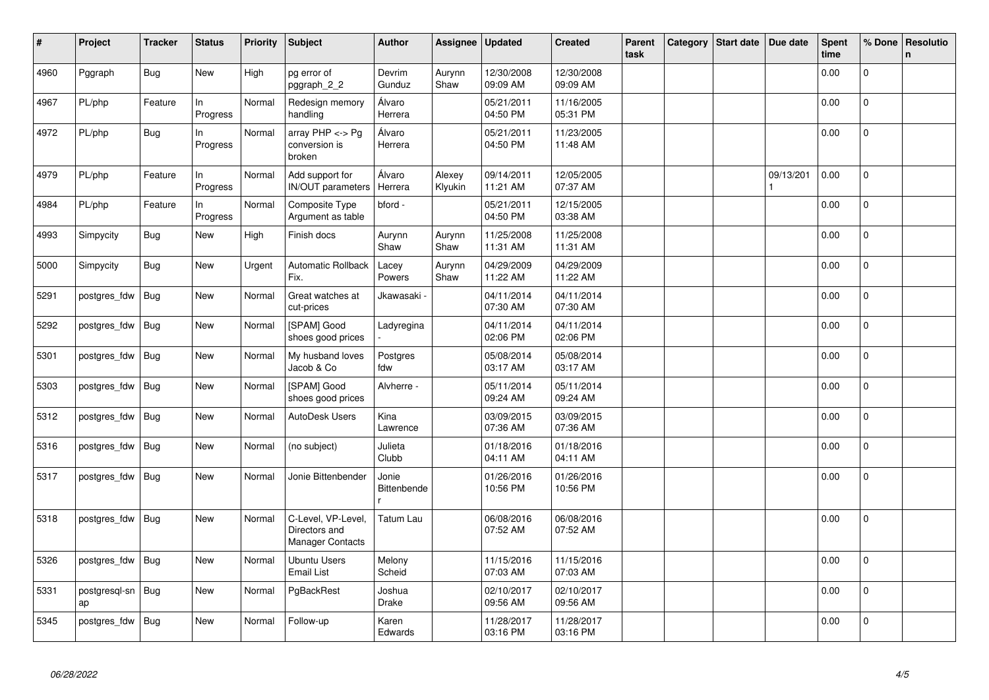| $\vert$ # | Project             | <b>Tracker</b> | <b>Status</b>  | <b>Priority</b> | <b>Subject</b>                                                 | <b>Author</b>        | Assignee          | <b>Updated</b>         | <b>Created</b>         | Parent<br>task | Category | <b>Start date</b> | Due date  | <b>Spent</b><br>time | % Done         | Resolutio<br>$\mathsf{n}$ |
|-----------|---------------------|----------------|----------------|-----------------|----------------------------------------------------------------|----------------------|-------------------|------------------------|------------------------|----------------|----------|-------------------|-----------|----------------------|----------------|---------------------------|
| 4960      | Pggraph             | <b>Bug</b>     | <b>New</b>     | High            | pg error of<br>pggraph 2 2                                     | Devrim<br>Gunduz     | Aurynn<br>Shaw    | 12/30/2008<br>09:09 AM | 12/30/2008<br>09:09 AM |                |          |                   |           | 0.00                 | $\mathbf 0$    |                           |
| 4967      | PL/php              | Feature        | In<br>Progress | Normal          | Redesign memory<br>handling                                    | Álvaro<br>Herrera    |                   | 05/21/2011<br>04:50 PM | 11/16/2005<br>05:31 PM |                |          |                   |           | 0.00                 | $\mathbf 0$    |                           |
| 4972      | PL/php              | <b>Bug</b>     | In<br>Progress | Normal          | array $PHP \lt\gt P$ g<br>conversion is<br>broken              | Álvaro<br>Herrera    |                   | 05/21/2011<br>04:50 PM | 11/23/2005<br>11:48 AM |                |          |                   |           | 0.00                 | 0              |                           |
| 4979      | PL/php              | Feature        | In<br>Progress | Normal          | Add support for<br><b>IN/OUT</b> parameters                    | Álvaro<br>Herrera    | Alexey<br>Klyukin | 09/14/2011<br>11:21 AM | 12/05/2005<br>07:37 AM |                |          |                   | 09/13/201 | 0.00                 | $\mathbf 0$    |                           |
| 4984      | PL/php              | Feature        | In<br>Progress | Normal          | Composite Type<br>Argument as table                            | bford -              |                   | 05/21/2011<br>04:50 PM | 12/15/2005<br>03:38 AM |                |          |                   |           | 0.00                 | $\Omega$       |                           |
| 4993      | Simpycity           | <b>Bug</b>     | New            | High            | Finish docs                                                    | Aurynn<br>Shaw       | Aurynn<br>Shaw    | 11/25/2008<br>11:31 AM | 11/25/2008<br>11:31 AM |                |          |                   |           | 0.00                 | $\mathbf 0$    |                           |
| 5000      | Simpycity           | Bug            | New            | Urgent          | <b>Automatic Rollback</b><br>Fix.                              | Lacey<br>Powers      | Aurynn<br>Shaw    | 04/29/2009<br>11:22 AM | 04/29/2009<br>11:22 AM |                |          |                   |           | 0.00                 | 0              |                           |
| 5291      | postgres fdw        | Bug            | New            | Normal          | Great watches at<br>cut-prices                                 | Jkawasaki            |                   | 04/11/2014<br>07:30 AM | 04/11/2014<br>07:30 AM |                |          |                   |           | 0.00                 | 0              |                           |
| 5292      | postgres fdw        | Bug            | <b>New</b>     | Normal          | [SPAM] Good<br>shoes good prices                               | Ladyregina           |                   | 04/11/2014<br>02:06 PM | 04/11/2014<br>02:06 PM |                |          |                   |           | 0.00                 | $\overline{0}$ |                           |
| 5301      | postgres_fdw        | Bug            | <b>New</b>     | Normal          | My husband loves<br>Jacob & Co                                 | Postgres<br>fdw      |                   | 05/08/2014<br>03:17 AM | 05/08/2014<br>03:17 AM |                |          |                   |           | 0.00                 | $\mathbf 0$    |                           |
| 5303      | postgres_fdw        | Bug            | New            | Normal          | [SPAM] Good<br>shoes good prices                               | Alvherre -           |                   | 05/11/2014<br>09:24 AM | 05/11/2014<br>09:24 AM |                |          |                   |           | 0.00                 | $\Omega$       |                           |
| 5312      | postgres_fdw        | Bug            | <b>New</b>     | Normal          | AutoDesk Users                                                 | Kina<br>Lawrence     |                   | 03/09/2015<br>07:36 AM | 03/09/2015<br>07:36 AM |                |          |                   |           | 0.00                 | 0              |                           |
| 5316      | postgres_fdw        | Bug            | <b>New</b>     | Normal          | (no subject)                                                   | Julieta<br>Clubb     |                   | 01/18/2016<br>04:11 AM | 01/18/2016<br>04:11 AM |                |          |                   |           | 0.00                 | $\mathbf 0$    |                           |
| 5317      | postgres fdw        | Bug            | New            | Normal          | Jonie Bittenbender                                             | Jonie<br>Bittenbende |                   | 01/26/2016<br>10:56 PM | 01/26/2016<br>10:56 PM |                |          |                   |           | 0.00                 | 0              |                           |
| 5318      | postgres fdw        | <b>Bug</b>     | New            | Normal          | C-Level, VP-Level,<br>Directors and<br><b>Manager Contacts</b> | Tatum Lau            |                   | 06/08/2016<br>07:52 AM | 06/08/2016<br>07:52 AM |                |          |                   |           | 0.00                 | $\pmb{0}$      |                           |
| 5326      | postgres_fdw        | Bug            | <b>New</b>     | Normal          | <b>Ubuntu Users</b><br><b>Email List</b>                       | Melony<br>Scheid     |                   | 11/15/2016<br>07:03 AM | 11/15/2016<br>07:03 AM |                |          |                   |           | 0.00                 | $\mathbf 0$    |                           |
| 5331      | postgresgl-sn<br>ap | Bug            | New            | Normal          | PgBackRest                                                     | Joshua<br>Drake      |                   | 02/10/2017<br>09:56 AM | 02/10/2017<br>09:56 AM |                |          |                   |           | 0.00                 | $\overline{0}$ |                           |
| 5345      | postgres fdw        | Bug            | New            | Normal          | Follow-up                                                      | Karen<br>Edwards     |                   | 11/28/2017<br>03:16 PM | 11/28/2017<br>03:16 PM |                |          |                   |           | 0.00                 | 0              |                           |